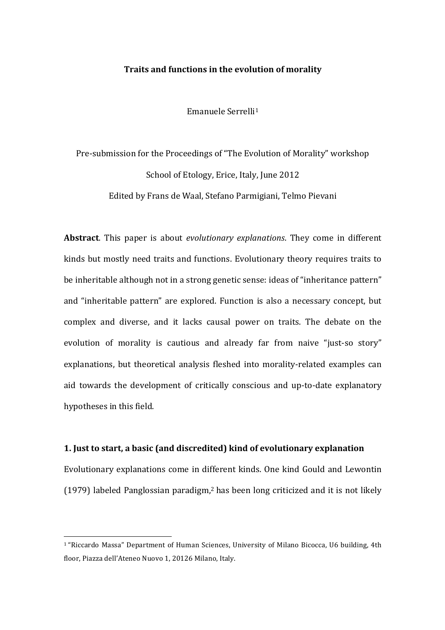# **Traits and functions in the evolution of morality**

Emanuele Serrelli1

Pre-submission for the Proceedings of "The Evolution of Morality" workshop School of Etology, Erice, Italy, June 2012 Edited by Frans de Waal, Stefano Parmigiani, Telmo Pievani

**Abstract**. This paper is about *evolutionary explanations*. They come in different kinds but mostly need traits and functions. Evolutionary theory requires traits to be inheritable although not in a strong genetic sense: ideas of "inheritance pattern" and "inheritable pattern" are explored. Function is also a necessary concept, but complex and diverse, and it lacks causal power on traits. The debate on the evolution of morality is cautious and already far from naive "just-so story" explanations, but theoretical analysis fleshed into morality-related examples can aid towards the development of critically conscious and up-to-date explanatory hypotheses in this field.

### **1. Just to start, a basic (and discredited) kind of evolutionary explanation**

Evolutionary explanations come in different kinds. One kind Gould and Lewontin (1979) labeled Panglossian paradigm,<sup>2</sup> has been long criticized and it is not likely

<sup>&</sup>lt;sup>1</sup> "Riccardo Massa" Department of Human Sciences, University of Milano Bicocca, U6 building, 4th floor, Piazza dell'Ateneo Nuovo 1, 20126 Milano, Italy.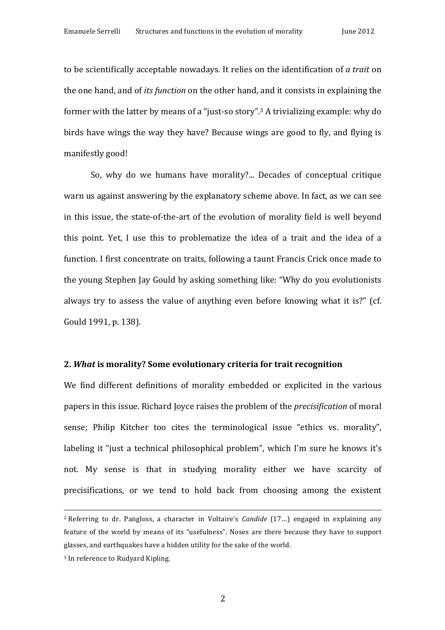to be scientifically acceptable nowadays. It relies on the identification of *a trait* on the one hand, and of *its function* on the other hand, and it consists in explaining the former with the latter by means of a "just-so story".<sup>3</sup> A trivializing example: why do birds have wings the way they have? Because wings are good to fly, and flying is manifestly good!

So, why do we humans have morality?... Decades of conceptual critique warn us against answering by the explanatory scheme above. In fact, as we can see in this issue, the state-of-the-art of the evolution of morality field is well beyond this point. Yet, I use this to problematize the idea of a trait and the idea of a function. I first concentrate on traits, following a taunt Francis Crick once made to the young Stephen Jay Gould by asking something like: "Why do you evolutionists always try to assess the value of anything even before knowing what it is?" (cf. Gould 1991, p. 138).

# **2.** *What* **is morality? Some evolutionary criteria for trait recognition**

We find different definitions of morality embedded or explicited in the various papers in this issue. Richard Joyce raises the problem of the *precisification* of moral sense; Philip Kitcher too cites the terminological issue "ethics vs. morality", labeling it "just a technical philosophical problem", which I'm sure he knows it's not. My sense is that in studying morality either we have scarcity of precisifications, or we tend to hold back from choosing among the existent

<u> 1989 - Andrea Santa Alemania, amerikana amerikana amerikana amerikana amerikana amerikana amerikana amerikan</u>

<sup>&</sup>lt;sup>2</sup> Referring to dr. Pangloss, a character in Voltaire's *Candide* (17...) engaged in explaining any feature of the world by means of its "usefulness". Noses are there because they have to support glasses, and earthquakes have a hidden utility for the sake of the world.

<sup>&</sup>lt;sup>3</sup> In reference to Rudyard Kipling.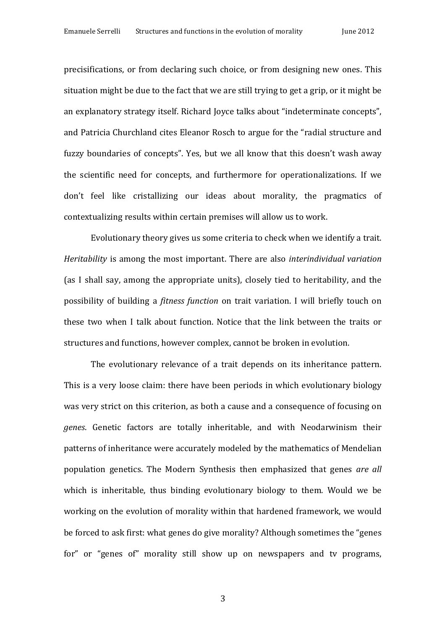precisifications, or from declaring such choice, or from designing new ones. This situation might be due to the fact that we are still trying to get a grip, or it might be an explanatory strategy itself. Richard Joyce talks about "indeterminate concepts", and Patricia Churchland cites Eleanor Rosch to argue for the "radial structure and fuzzy boundaries of concepts". Yes, but we all know that this doesn't wash away the scientific need for concepts, and furthermore for operationalizations. If we don't feel like cristallizing our ideas about morality, the pragmatics of contextualizing results within certain premises will allow us to work.

Evolutionary theory gives us some criteria to check when we identify a trait. *Heritability* is among the most important. There are also *interindividual variation* (as I shall say, among the appropriate units), closely tied to heritability, and the possibility of building a *fitness function* on trait variation. I will briefly touch on these two when I talk about function. Notice that the link between the traits or structures and functions, however complex, cannot be broken in evolution.

The evolutionary relevance of a trait depends on its inheritance pattern. This is a very loose claim: there have been periods in which evolutionary biology was very strict on this criterion, as both a cause and a consequence of focusing on genes. Genetic factors are totally inheritable, and with Neodarwinism their patterns of inheritance were accurately modeled by the mathematics of Mendelian population genetics. The Modern Synthesis then emphasized that genes *are all* which is inheritable, thus binding evolutionary biology to them. Would we be working on the evolution of morality within that hardened framework, we would be forced to ask first: what genes do give morality? Although sometimes the "genes for" or "genes of" morality still show up on newspapers and ty programs,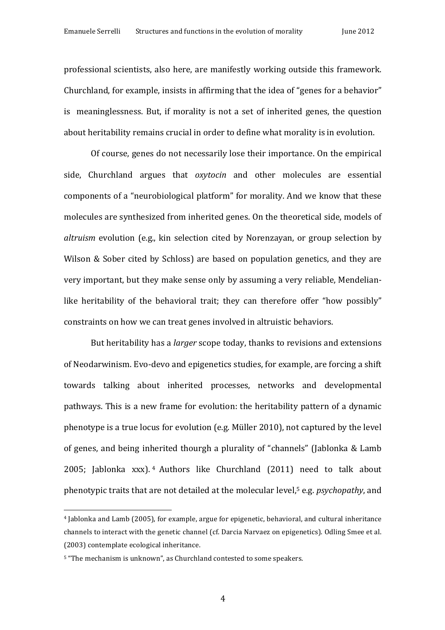professional scientists, also here, are manifestly working outside this framework. Churchland, for example, insists in affirming that the idea of "genes for a behavior" is meaninglessness. But, if morality is not a set of inherited genes, the question about heritability remains crucial in order to define what morality is in evolution.

Of course, genes do not necessarily lose their importance. On the empirical side, Churchland argues that *oxytocin* and other molecules are essential components of a "neurobiological platform" for morality. And we know that these molecules are synthesized from inherited genes. On the theoretical side, models of *altruism* evolution (e.g., kin selection cited by Norenzayan, or group selection by Wilson & Sober cited by Schloss) are based on population genetics, and they are very important, but they make sense only by assuming a very reliable, Mendelianlike heritability of the behavioral trait; they can therefore offer "how possibly" constraints on how we can treat genes involved in altruistic behaviors.

But heritability has a *larger* scope today, thanks to revisions and extensions of Neodarwinism. Evo-devo and epigenetics studies, for example, are forcing a shift towards talking about inherited processes, networks and developmental pathways. This is a new frame for evolution: the heritability pattern of a dynamic phenotype is a true locus for evolution (e.g. Müller 2010), not captured by the level of genes, and being inherited thourgh a plurality of "channels" (Jablonka & Lamb 2005; Jablonka xxx). <sup>4</sup> Authors like Churchland (2011) need to talk about phenotypic traits that are not detailed at the molecular level,<sup>5</sup> e.g. *psychopathy*, and

 $4$  Jablonka and Lamb (2005), for example, argue for epigenetic, behavioral, and cultural inheritance channels to interact with the genetic channel (cf. Darcia Narvaez on epigenetics). Odling Smee et al. (2003) contemplate ecological inheritance.

<sup>&</sup>lt;sup>5</sup> "The mechanism is unknown", as Churchland contested to some speakers.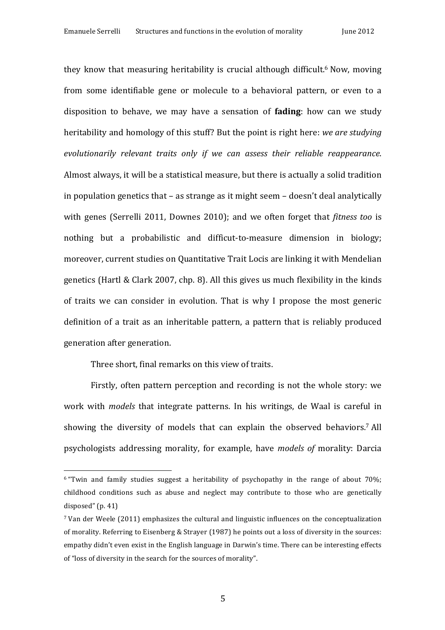they know that measuring heritability is crucial although difficult.<sup>6</sup> Now, moving from some identifiable gene or molecule to a behavioral pattern, or even to a disposition to behave, we may have a sensation of **fading**: how can we study heritability and homology of this stuff? But the point is right here: *we are studying* evolutionarily relevant traits only if we can assess their reliable reappearance. Almost always, it will be a statistical measure, but there is actually a solid tradition in population genetics that  $-$  as strange as it might seem  $-$  doesn't deal analytically with genes (Serrelli 2011, Downes 2010); and we often forget that *fitness too* is nothing but a probabilistic and difficut-to-measure dimension in biology; moreover, current studies on Quantitative Trait Locis are linking it with Mendelian genetics (Hartl & Clark 2007, chp. 8). All this gives us much flexibility in the kinds of traits we can consider in evolution. That is why I propose the most generic definition of a trait as an inheritable pattern, a pattern that is reliably produced generation after generation.

Three short, final remarks on this view of traits.

 

Firstly, often pattern perception and recording is not the whole story: we work with *models* that integrate patterns. In his writings, de Waal is careful in showing the diversity of models that can explain the observed behaviors.<sup>7</sup> All psychologists addressing morality, for example, have *models of* morality: Darcia

 $6$  "Twin and family studies suggest a heritability of psychopathy in the range of about 70%; childhood conditions such as abuse and neglect may contribute to those who are genetically disposed"  $(p. 41)$ 

 $7$  Van der Weele (2011) emphasizes the cultural and linguistic influences on the conceptualization of morality. Referring to Eisenberg & Strayer (1987) he points out a loss of diversity in the sources: empathy didn't even exist in the English language in Darwin's time. There can be interesting effects of "loss of diversity in the search for the sources of morality".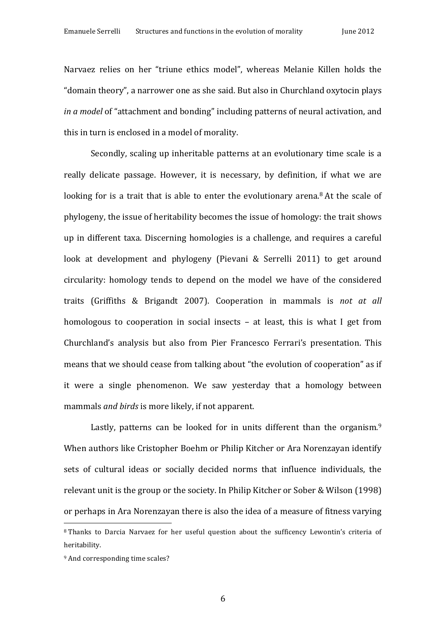Narvaez relies on her "triune ethics model", whereas Melanie Killen holds the "domain theory", a narrower one as she said. But also in Churchland oxytocin plays *in a model* of "attachment and bonding" including patterns of neural activation, and this in turn is enclosed in a model of morality.

Secondly, scaling up inheritable patterns at an evolutionary time scale is a really delicate passage. However, it is necessary, by definition, if what we are looking for is a trait that is able to enter the evolutionary arena.<sup>8</sup> At the scale of phylogeny, the issue of heritability becomes the issue of homology: the trait shows up in different taxa. Discerning homologies is a challenge, and requires a careful look at development and phylogeny (Pievani & Serrelli 2011) to get around circularity: homology tends to depend on the model we have of the considered traits (Griffiths & Brigandt 2007). Cooperation in mammals is *not at all* homologous to cooperation in social insects  $-$  at least, this is what I get from Churchland's analysis but also from Pier Francesco Ferrari's presentation. This means that we should cease from talking about "the evolution of cooperation" as if it were a single phenomenon. We saw yesterday that a homology between mammals *and birds* is more likely, if not apparent.

Lastly, patterns can be looked for in units different than the organism.<sup>9</sup> When authors like Cristopher Boehm or Philip Kitcher or Ara Norenzayan identify sets of cultural ideas or socially decided norms that influence individuals, the relevant unit is the group or the society. In Philip Kitcher or Sober & Wilson  $(1998)$ or perhaps in Ara Norenzayan there is also the idea of a measure of fitness varying

<sup>&</sup>lt;sup>8</sup> Thanks to Darcia Narvaez for her useful question about the sufficency Lewontin's criteria of heritability.

<sup>&</sup>lt;sup>9</sup> And corresponding time scales?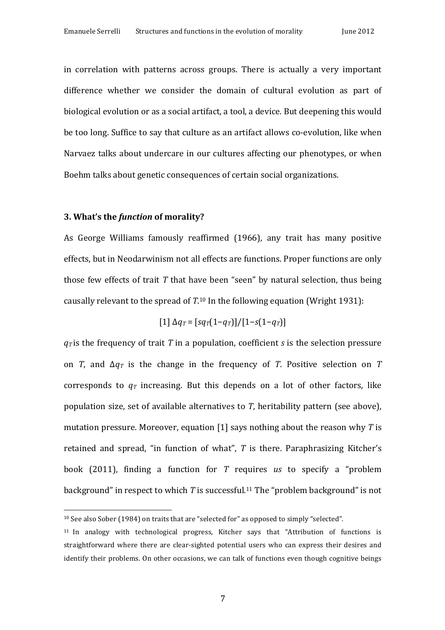in correlation with patterns across groups. There is actually a very important difference whether we consider the domain of cultural evolution as part of biological evolution or as a social artifact, a tool, a device. But deepening this would be too long. Suffice to say that culture as an artifact allows co-evolution, like when Narvaez talks about undercare in our cultures affecting our phenotypes, or when Boehm talks about genetic consequences of certain social organizations.

# **3.** What's the *function* of morality?

 

As George Williams famously reaffirmed (1966), any trait has many positive effects, but in Neodarwinism not all effects are functions. Proper functions are only those few effects of trait  $T$  that have been "seen" by natural selection, thus being causally relevant to the spread of  $T<sup>10</sup>$  In the following equation (Wright 1931):

$$
[1] \Delta q_T = [sq_T(1-q_T)]/[1-s(1-q_T)]
$$

 $q_T$  is the frequency of trait T in a population, coefficient *s* is the selection pressure on *T*, and  $\Delta q_T$  is the change in the frequency of *T*. Positive selection on *T* corresponds to  $q_T$  increasing. But this depends on a lot of other factors, like population size, set of available alternatives to  $T$ , heritability pattern (see above), mutation pressure. Moreover, equation  $[1]$  says nothing about the reason why *T* is retained and spread, "in function of what",  $T$  is there. Paraphrasizing Kitcher's book (2011), finding a function for *T* requires *us* to specify a "problem background" in respect to which  $T$  is successful.<sup>11</sup> The "problem background" is not

 $10$  See also Sober (1984) on traits that are "selected for" as opposed to simply "selected".

<sup>&</sup>lt;sup>11</sup> In analogy with technological progress, Kitcher says that "Attribution of functions is straightforward where there are clear-sighted potential users who can express their desires and identify their problems. On other occasions, we can talk of functions even though cognitive beings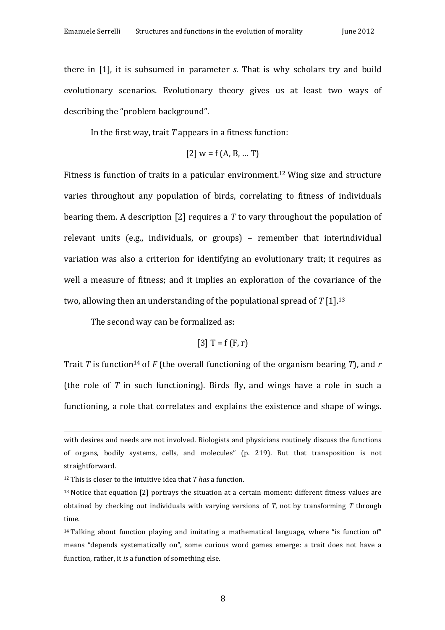there in [1], it is subsumed in parameter *s*. That is why scholars try and build evolutionary scenarios. Evolutionary theory gives us at least two ways of describing the "problem background".

In the first way, trait  $T$  appears in a fitness function:

[2] 
$$
w = f(A, B, ... T)
$$

Fitness is function of traits in a paticular environment.<sup>12</sup> Wing size and structure varies throughout any population of birds, correlating to fitness of individuals bearing them. A description [2] requires a T to vary throughout the population of relevant units (e.g., individuals, or groups) – remember that interindividual variation was also a criterion for identifying an evolutionary trait; it requires as well a measure of fitness; and it implies an exploration of the covariance of the two, allowing then an understanding of the populational spread of  $T[1]$ .<sup>13</sup>

The second way can be formalized as:

[3] 
$$
T = f(F, r)
$$

Trait *T* is function<sup>14</sup> of *F* (the overall functioning of the organism bearing *T*), and *r* (the role of  $T$  in such functioning). Birds fly, and wings have a role in such a functioning, a role that correlates and explains the existence and shape of wings.

<u> 1989 - Andrea Santa Alemania, amerikana amerikana amerikana amerikana amerikana amerikana amerikana amerikan</u>

with desires and needs are not involved. Biologists and physicians routinely discuss the functions of organs, bodily systems, cells, and molecules" (p. 219). But that transposition is not straightforward.

 $12$  This is closer to the intuitive idea that *T* has a function.

 $13$  Notice that equation [2] portrays the situation at a certain moment: different fitness values are obtained by checking out individuals with varying versions of *T*, not by transforming *T* through time.

 $14$  Talking about function playing and imitating a mathematical language, where "is function of" means "depends systematically on", some curious word games emerge: a trait does not have a function, rather, it *is* a function of something else.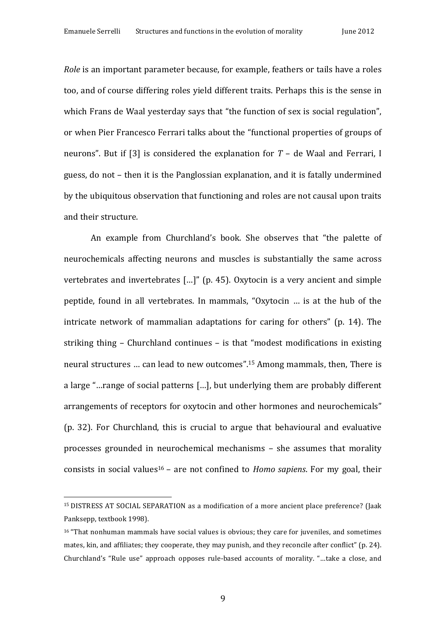*Role* is an important parameter because, for example, feathers or tails have a roles too, and of course differing roles yield different traits. Perhaps this is the sense in which Frans de Waal yesterday says that "the function of sex is social regulation", or when Pier Francesco Ferrari talks about the "functional properties of groups of neurons". But if [3] is considered the explanation for  $T -$  de Waal and Ferrari, I guess, do not – then it is the Panglossian explanation, and it is fatally undermined by the ubiquitous observation that functioning and roles are not causal upon traits and their structure.

An example from Churchland's book. She observes that "the palette of neurochemicals affecting neurons and muscles is substantially the same across vertebrates and invertebrates  $\left[\ldots\right]$ " (p. 45). Oxytocin is a very ancient and simple peptide, found in all vertebrates. In mammals, "Oxytocin ... is at the hub of the intricate network of mammalian adaptations for caring for others" (p. 14). The striking thing  $-$  Churchland continues  $-$  is that "modest modifications in existing neural structures ... can lead to new outcomes".<sup>15</sup> Among mammals, then, There is a large "...range of social patterns [...], but underlying them are probably different arrangements of receptors for oxytocin and other hormones and neurochemicals" (p. 32). For Churchland, this is crucial to argue that behavioural and evaluative processes grounded in neurochemical mechanisms – she assumes that morality consists in social values<sup>16</sup> – are not confined to *Homo sapiens*. For my goal, their

<sup>&</sup>lt;sup>15</sup> DISTRESS AT SOCIAL SEPARATION as a modification of a more ancient place preference? (Jaak Panksepp, textbook 1998).

 $16$  "That nonhuman mammals have social values is obvious; they care for juveniles, and sometimes mates, kin, and affiliates; they cooperate, they may punish, and they reconcile after conflict" (p. 24). Churchland's "Rule use" approach opposes rule-based accounts of morality. "...take a close, and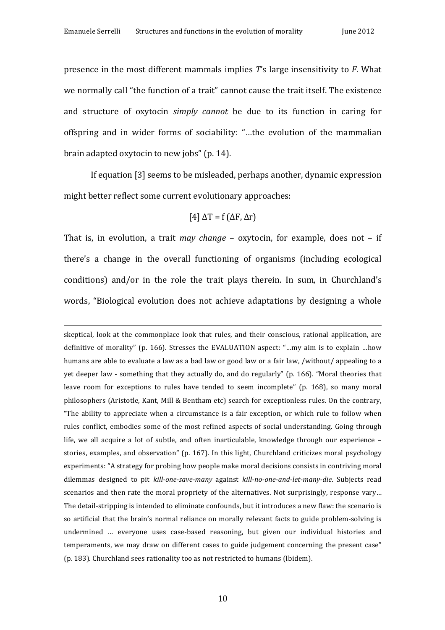presence in the most different mammals implies *T*'s large insensitivity to *F*. What we normally call "the function of a trait" cannot cause the trait itself. The existence and structure of oxytocin *simply cannot* be due to its function in caring for offspring and in wider forms of sociability: "...the evolution of the mammalian brain adapted oxytocin to new jobs" (p. 14).

If equation [3] seems to be misleaded, perhaps another, dynamic expression might better reflect some current evolutionary approaches:

$$
[4] \Delta T = f(\Delta F, \Delta r)
$$

That is, in evolution, a trait *may change* – oxytocin, for example, does not – if there's a change in the overall functioning of organisms (including ecological conditions) and/or in the role the trait plays therein. In sum, in Churchland's words, "Biological evolution does not achieve adaptations by designing a whole

<u> 1989 - Andrea Santa Alemania, amerikana amerikana amerikana amerikana amerikana amerikana amerikana amerikan</u>

skeptical, look at the commonplace look that rules, and their conscious, rational application, are definitive of morality" (p. 166). Stresses the EVALUATION aspect: "...my aim is to explain ...how humans are able to evaluate a law as a bad law or good law or a fair law, /without/ appealing to a yet deeper law - something that they actually do, and do regularly" (p. 166). "Moral theories that leave room for exceptions to rules have tended to seem incomplete" (p. 168), so many moral philosophers (Aristotle, Kant, Mill & Bentham etc) search for exceptionless rules. On the contrary, "The ability to appreciate when a circumstance is a fair exception, or which rule to follow when rules conflict, embodies some of the most refined aspects of social understanding. Going through life, we all acquire a lot of subtle, and often inarticulable, knowledge through our experience  $$ stories, examples, and observation" (p. 167). In this light, Churchland criticizes moral psychology experiments: "A strategy for probing how people make moral decisions consists in contriving moral dilemmas designed to pit *kill-one-save-many* against *kill-no-one-and-let-many-die*. Subjects read scenarios and then rate the moral propriety of the alternatives. Not surprisingly, response vary... The detail-stripping is intended to eliminate confounds, but it introduces a new flaw: the scenario is so artificial that the brain's normal reliance on morally relevant facts to guide problem-solving is undermined ... everyone uses case-based reasoning, but given our individual histories and temperaments, we may draw on different cases to guide judgement concerning the present case" (p. 183). Churchland sees rationality too as not restricted to humans (Ibidem).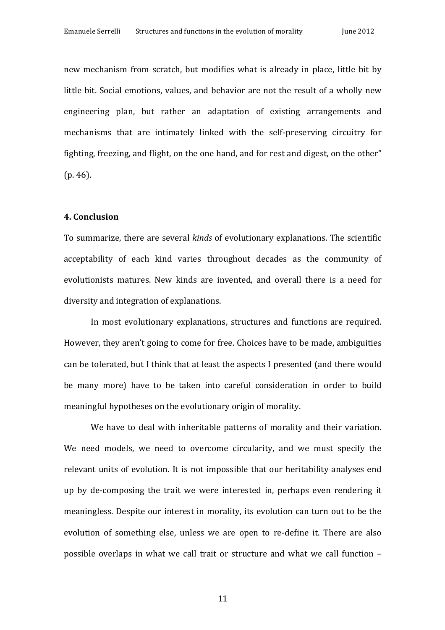new mechanism from scratch, but modifies what is already in place, little bit by little bit. Social emotions, values, and behavior are not the result of a wholly new engineering plan, but rather an adaptation of existing arrangements and mechanisms that are intimately linked with the self-preserving circuitry for fighting, freezing, and flight, on the one hand, and for rest and digest, on the other"  $(p. 46)$ .

#### **4. Conclusion**

To summarize, there are several *kinds* of evolutionary explanations. The scientific acceptability of each kind varies throughout decades as the community of evolutionists matures. New kinds are invented, and overall there is a need for diversity and integration of explanations.

In most evolutionary explanations, structures and functions are required. However, they aren't going to come for free. Choices have to be made, ambiguities can be tolerated, but I think that at least the aspects I presented (and there would be many more) have to be taken into careful consideration in order to build meaningful hypotheses on the evolutionary origin of morality.

We have to deal with inheritable patterns of morality and their variation. We need models, we need to overcome circularity, and we must specify the relevant units of evolution. It is not impossible that our heritability analyses end up by de-composing the trait we were interested in, perhaps even rendering it meaningless. Despite our interest in morality, its evolution can turn out to be the evolution of something else, unless we are open to re-define it. There are also possible overlaps in what we call trait or structure and what we call function -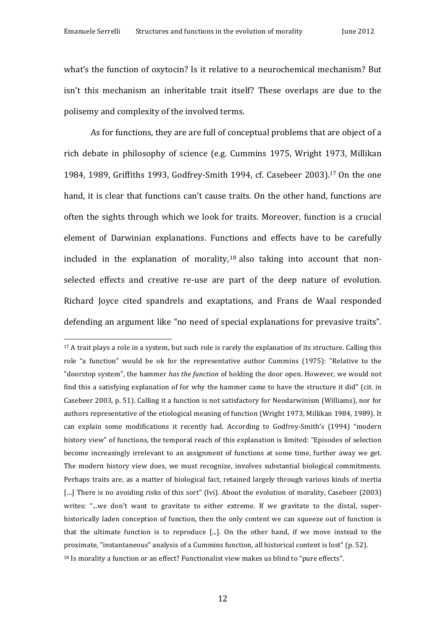what's the function of oxytocin? Is it relative to a neurochemical mechanism? But isn't this mechanism an inheritable trait itself? These overlaps are due to the polisemy and complexity of the involved terms.

As for functions, they are are full of conceptual problems that are object of a rich debate in philosophy of science (e.g. Cummins 1975, Wright 1973, Millikan 1984, 1989, Griffiths 1993, Godfrey-Smith 1994, cf. Casebeer 2003).<sup>17</sup> On the one hand, it is clear that functions can't cause traits. On the other hand, functions are often the sights through which we look for traits. Moreover, function is a crucial element of Darwinian explanations. Functions and effects have to be carefully included in the explanation of morality,<sup>18</sup> also taking into account that nonselected effects and creative re-use are part of the deep nature of evolution. Richard Joyce cited spandrels and exaptations, and Frans de Waal responded defending an argument like "no need of special explanations for prevasive traits".

<sup>&</sup>lt;sup>17</sup> A trait plays a role in a system, but such role is rarely the explanation of its structure. Calling this role "a function" would be ok for the representative author Cummins (1975): "Relative to the "doorstop system", the hammer *has the function* of holding the door open. However, we would not find this a satisfying explanation of for why the hammer came to have the structure it did" (cit. in Casebeer 2003, p. 51). Calling it a function is not satisfactory for Neodarwinism (Williams), nor for authors representative of the etiological meaning of function (Wright 1973, Millikan 1984, 1989). It can explain some modifications it recently had. According to Godfrey-Smith's (1994) "modern history view" of functions, the temporal reach of this explanation is limited: "Episodes of selection become increasingly irrelevant to an assignment of functions at some time, further away we get. The modern history view does, we must recognize, involves substantial biological commitments. Perhaps traits are, as a matter of biological fact, retained largely through various kinds of inertia [...] There is no avoiding risks of this sort" (Ivi). About the evolution of morality, Casebeer (2003) writes: "...we don't want to gravitate to either extreme. If we gravitate to the distal, superhistorically laden conception of function, then the only content we can squeeze out of function is that the ultimate function is to reproduce  $[\dots]$ . On the other hand, if we move instead to the proximate, "instantaneous" analysis of a Cummins function, all historical content is lost" ( $p. 52$ ). <sup>18</sup> Is morality a function or an effect? Functionalist view makes us blind to "pure effects".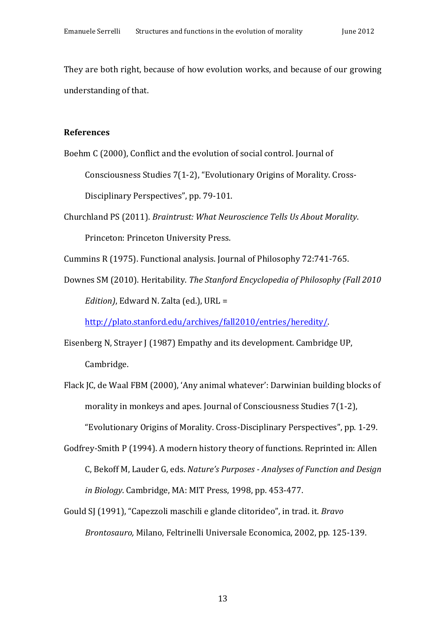They are both right, because of how evolution works, and because of our growing understanding of that.

### **References**

Boehm C (2000), Conflict and the evolution of social control. Journal of

Consciousness Studies 7(1-2), "Evolutionary Origins of Morality. Cross-

Disciplinary Perspectives", pp. 79-101.

Churchland PS (2011). *Braintrust: What Neuroscience Tells Us About Morality.* Princeton: Princeton University Press.

Cummins R (1975). Functional analysis. Journal of Philosophy 72:741-765.

Downes SM (2010). Heritability. *The Stanford Encyclopedia of Philosophy (Fall 2010 Edition*), Edward N. Zalta (ed.), URL =

http://plato.stanford.edu/archives/fall2010/entries/heredity/.

- Eisenberg N, Strayer J (1987) Empathy and its development. Cambridge UP, Cambridge.
- Flack JC, de Waal FBM (2000), 'Any animal whatever': Darwinian building blocks of morality in monkeys and apes. Journal of Consciousness Studies  $7(1-2)$ , "Evolutionary Origins of Morality. Cross-Disciplinary Perspectives", pp. 1-29.
- Godfrey-Smith P (1994). A modern history theory of functions. Reprinted in: Allen C, Bekoff M, Lauder G, eds. *Nature's Purposes - Analyses of Function and Design in Biology*. Cambridge, MA: MIT Press, 1998, pp. 453-477.
- Gould SJ (1991), "Capezzoli maschili e glande clitorideo", in trad. it. *Bravo Brontosauro, Milano, Feltrinelli Universale Economica, 2002, pp. 125-139.*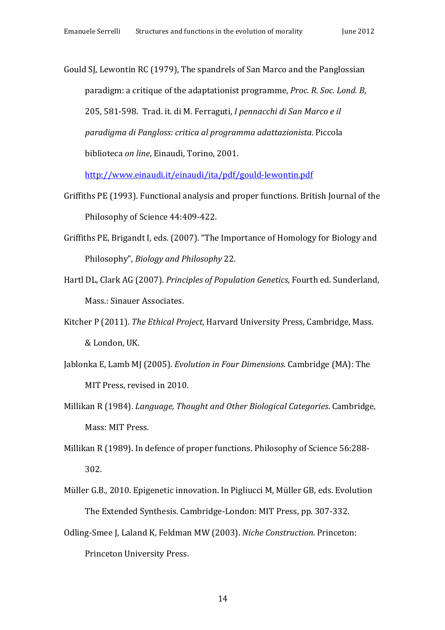Gould SJ, Lewontin RC (1979), The spandrels of San Marco and the Panglossian paradigm: a critique of the adaptationist programme, *Proc. R. Soc. Lond. B*, 205, 581-598. Trad. it. di M. Ferraguti, *I pennacchi di San Marco e il paradigma di Pangloss: critica al programma adattazionista*. Piccola biblioteca *on line*, Einaudi, Torino, 2001.

http://www.einaudi.it/einaudi/ita/pdf/gould-lewontin.pdf

- Griffiths PE (1993). Functional analysis and proper functions. British Journal of the Philosophy of Science 44:409-422.
- Griffiths PE, Brigandt I, eds. (2007). "The Importance of Homology for Biology and Philosophy", *Biology and Philosophy* 22.
- Hartl DL, Clark AG (2007). *Principles of Population Genetics*, Fourth ed. Sunderland, Mass.: Sinauer Associates.
- Kitcher P (2011). *The Ethical Project*, Harvard University Press, Cambridge, Mass. & London, UK.
- Jablonka E, Lamb MJ (2005). *Evolution in Four Dimensions*. Cambridge (MA): The MIT Press, revised in 2010.
- Millikan R (1984). *Language, Thought and Other Biological Categories*. Cambridge, Mass: MIT Press.
- Millikan R (1989). In defence of proper functions. Philosophy of Science 56:288-302.
- Müller G.B., 2010. Epigenetic innovation. In Pigliucci M, Müller GB, eds. Evolution The Extended Synthesis. Cambridge-London: MIT Press, pp. 307-332.
- Odling-Smee J, Laland K, Feldman MW (2003). *Niche Construction*. Princeton: Princeton University Press.